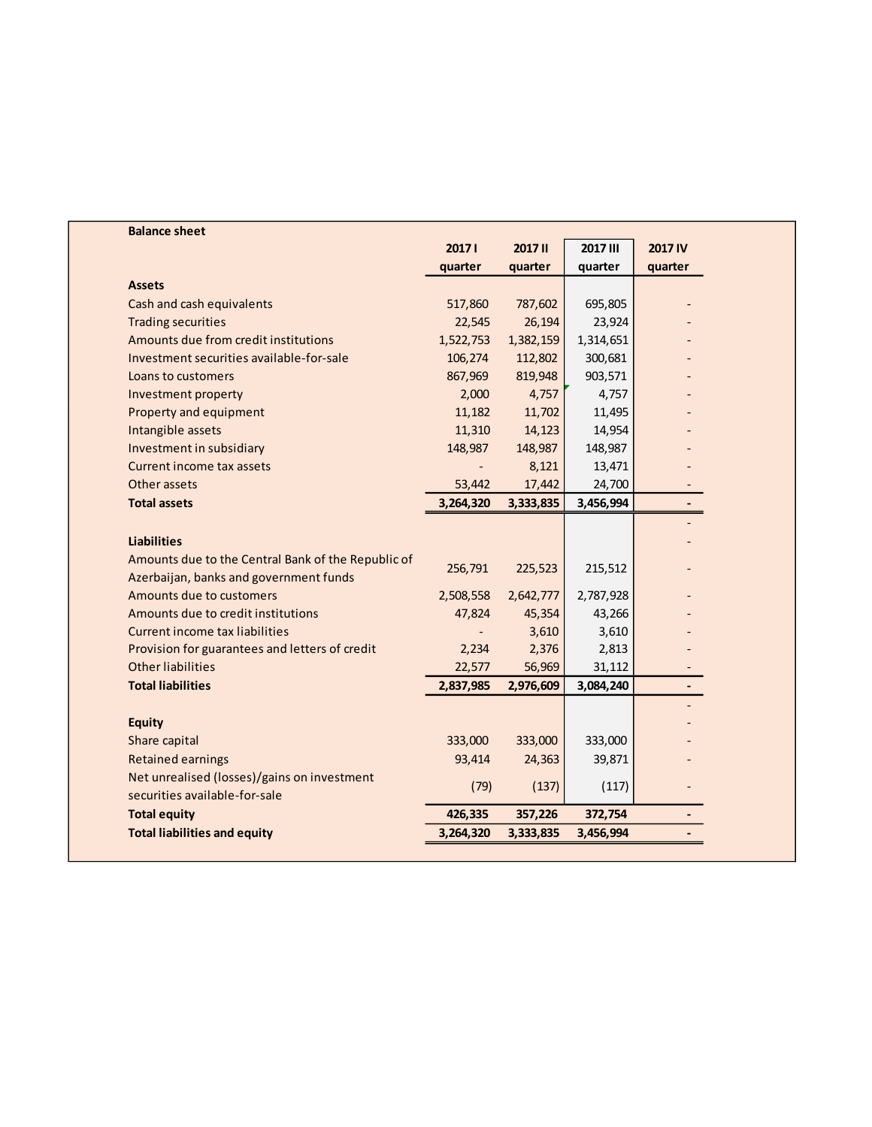| <b>Balance sheet</b>                               |           |               |                 |                |
|----------------------------------------------------|-----------|---------------|-----------------|----------------|
|                                                    | 20171     | <b>2017II</b> | <b>2017 III</b> | 2017 IV        |
|                                                    | quarter   | quarter       | quarter         | quarter        |
| <b>Assets</b>                                      |           |               |                 |                |
| Cash and cash equivalents                          | 517,860   | 787,602       | 695,805         |                |
| <b>Trading securities</b>                          | 22,545    | 26,194        | 23,924          |                |
| Amounts due from credit institutions               | 1,522,753 | 1,382,159     | 1,314,651       |                |
| Investment securities available-for-sale           | 106,274   | 112,802       | 300,681         |                |
| Loans to customers                                 | 867,969   | 819,948       | 903,571         |                |
| Investment property                                | 2,000     | 4,757         | 4,757           |                |
| Property and equipment                             | 11,182    | 11,702        | 11,495          |                |
| Intangible assets                                  | 11,310    | 14,123        | 14,954          |                |
| Investment in subsidiary                           | 148,987   | 148,987       | 148,987         |                |
| Current income tax assets                          |           | 8,121         | 13,471          |                |
| Other assets                                       | 53,442    | 17,442        | 24,700          |                |
| <b>Total assets</b>                                | 3,264,320 | 3,333,835     | 3,456,994       |                |
|                                                    |           |               |                 |                |
| <b>Liabilities</b>                                 |           |               |                 |                |
| Amounts due to the Central Bank of the Republic of | 256,791   | 225,523       | 215,512         |                |
| Azerbaijan, banks and government funds             |           |               |                 |                |
| Amounts due to customers                           | 2,508,558 | 2,642,777     | 2,787,928       |                |
| Amounts due to credit institutions                 | 47,824    | 45,354        | 43,266          |                |
| Current income tax liabilities                     |           | 3,610         | 3,610           |                |
| Provision for guarantees and letters of credit     | 2,234     | 2,376         | 2,813           |                |
| <b>Other liabilities</b>                           | 22,577    | 56,969        | 31,112          |                |
| <b>Total liabilities</b>                           | 2,837,985 | 2,976,609     | 3,084,240       | $\blacksquare$ |
|                                                    |           |               |                 |                |
| <b>Equity</b>                                      |           |               |                 |                |
| Share capital                                      | 333,000   | 333,000       | 333,000         |                |
| <b>Retained earnings</b>                           | 93,414    | 24,363        | 39,871          |                |
| Net unrealised (losses)/gains on investment        | (79)      | (137)         | (117)           |                |
| securities available-for-sale                      |           |               |                 |                |
| <b>Total equity</b>                                | 426,335   | 357,226       | 372,754         |                |
| <b>Total liabilities and equity</b>                | 3,264,320 | 3,333,835     | 3,456,994       |                |
|                                                    |           |               |                 |                |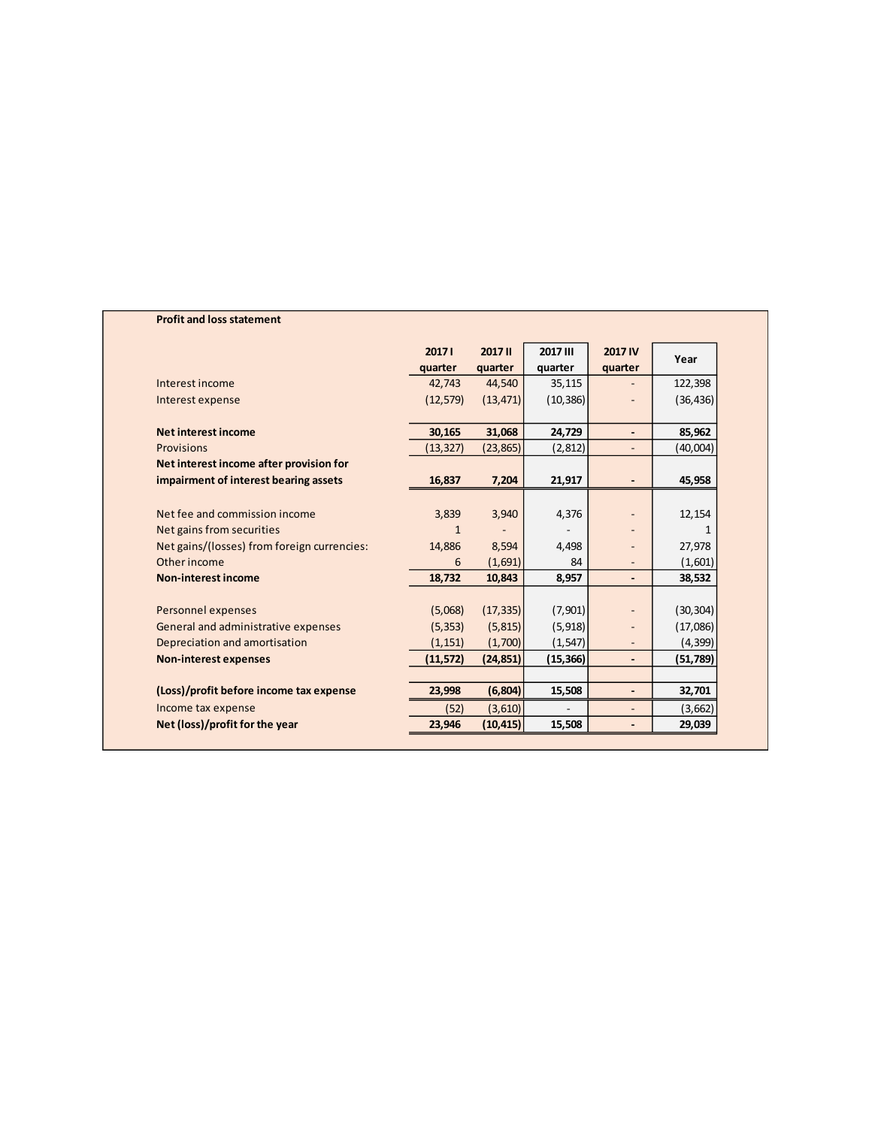| <b>Profit and loss statement</b>            |           |                |           |                          |           |
|---------------------------------------------|-----------|----------------|-----------|--------------------------|-----------|
|                                             | 20171     | <b>2017 II</b> | 2017 III  | <b>2017 IV</b>           |           |
|                                             | quarter   | quarter        | quarter   | quarter                  | Year      |
| Interest income                             | 42,743    | 44,540         | 35,115    |                          | 122,398   |
| Interest expense                            | (12, 579) | (13, 471)      | (10, 386) |                          | (36, 436) |
|                                             |           |                |           |                          |           |
| Net interest income                         | 30,165    | 31,068         | 24,729    | $\overline{\phantom{0}}$ | 85,962    |
| Provisions                                  | (13, 327) | (23, 865)      | (2,812)   | $\blacksquare$           | (40,004)  |
| Net interest income after provision for     |           |                |           |                          |           |
| impairment of interest bearing assets       | 16,837    | 7,204          | 21,917    | $\overline{\phantom{a}}$ | 45,958    |
|                                             |           |                |           |                          |           |
| Net fee and commission income               | 3,839     | 3,940          | 4,376     |                          | 12,154    |
| Net gains from securities                   | 1         |                |           |                          |           |
| Net gains/(losses) from foreign currencies: | 14,886    | 8,594          | 4,498     |                          | 27,978    |
| Other income                                | 6         | (1,691)        | 84        |                          | (1,601)   |
| <b>Non-interest income</b>                  | 18,732    | 10,843         | 8,957     | $\overline{\phantom{a}}$ | 38,532    |
|                                             |           |                |           |                          |           |
| <b>Personnel expenses</b>                   | (5,068)   | (17, 335)      | (7,901)   |                          | (30, 304) |
| General and administrative expenses         | (5, 353)  | (5, 815)       | (5, 918)  |                          | (17,086)  |
| Depreciation and amortisation               | (1, 151)  | (1,700)        | (1, 547)  |                          | (4, 399)  |
| <b>Non-interest expenses</b>                | (11, 572) | (24, 851)      | (15, 366) | $\overline{\phantom{a}}$ | (51,789)  |
|                                             |           |                |           |                          |           |
| (Loss)/profit before income tax expense     | 23,998    | (6, 804)       | 15,508    | $\overline{\phantom{a}}$ | 32,701    |
| Income tax expense                          | (52)      | (3,610)        |           |                          | (3,662)   |
| Net (loss)/profit for the year              | 23,946    | (10, 415)      | 15,508    |                          | 29,039    |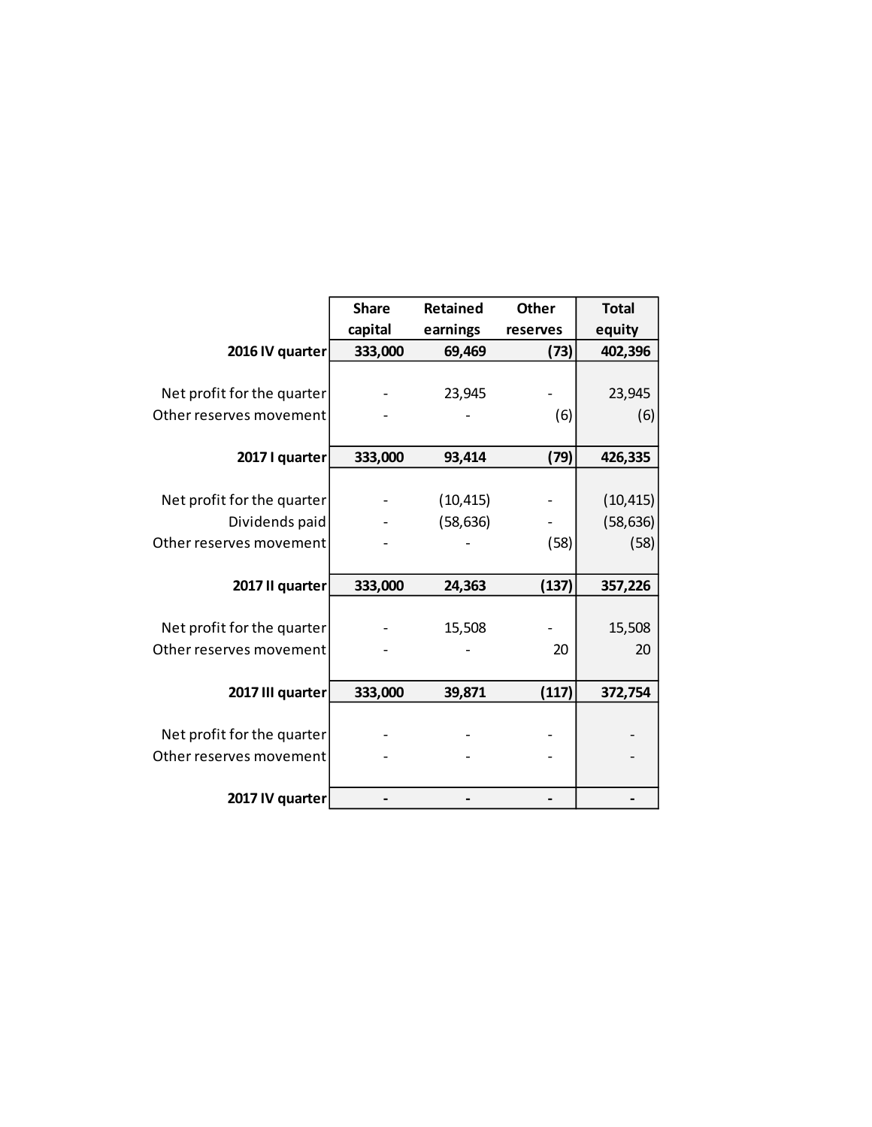|                            | <b>Share</b><br><b>Retained</b> |           | <b>Other</b> | <b>Total</b> |  |
|----------------------------|---------------------------------|-----------|--------------|--------------|--|
|                            | capital                         | earnings  | reserves     | equity       |  |
| 2016 IV quarter            | 333,000                         | 69,469    | (73)         | 402,396      |  |
|                            |                                 |           |              |              |  |
| Net profit for the quarter |                                 | 23,945    |              | 23,945       |  |
| Other reserves movement    |                                 |           | (6)          | (6)          |  |
|                            |                                 |           |              |              |  |
| 2017 I quarter             | 333,000                         | 93,414    | (79)         | 426,335      |  |
|                            |                                 |           |              |              |  |
| Net profit for the quarter |                                 | (10, 415) |              | (10, 415)    |  |
| Dividends paid             |                                 | (58, 636) |              | (58, 636)    |  |
| Other reserves movement    |                                 |           | (58)         | (58)         |  |
|                            |                                 |           |              |              |  |
| 2017 II quarter            | 333,000                         | 24,363    | (137)        | 357,226      |  |
|                            |                                 |           |              |              |  |
| Net profit for the quarter |                                 | 15,508    |              | 15,508       |  |
| Other reserves movement    |                                 |           | 20           | 20           |  |
|                            |                                 |           |              |              |  |
| 2017 III quarter           | 333,000                         | 39,871    | (117)        | 372,754      |  |
|                            |                                 |           |              |              |  |
| Net profit for the quarter |                                 |           |              |              |  |
| Other reserves movement    |                                 |           |              |              |  |
|                            |                                 |           |              |              |  |
| 2017 IV quarter            |                                 |           |              |              |  |